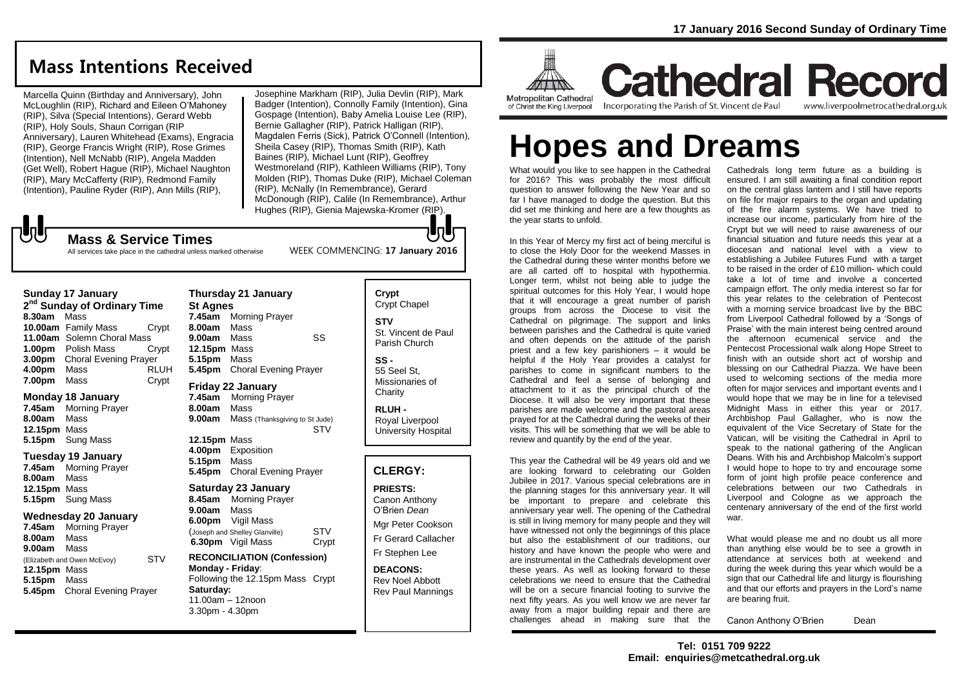## **Mass Intentions Received**

Marcella Quinn (Birthday and Anniversary), John McLoughlin (RIP), Richard and Eileen O'Mahoney (RIP), Silva (Special Intentions), Gerard Webb (RIP), Holy Souls, Shaun Corrigan (RIP Anniversary), Lauren Whitehead (Exams), Engracia (RIP), George Francis Wright (RIP), Rose Grimes (Intention), Nell McNabb (RIP), Angela Madden (Get Well), Robert Hague (RIP), Michael Naughton (RIP), Mary McCafferty (RIP), Redmond Family (Intention), Pauline Ryder (RIP), Ann Mills (RIP),

Josephine Markham (RIP), Julia Devlin (RIP), Mark Badger (Intention), Connolly Family (Intention), Gina Gospage (Intention), Baby Amelia Louise Lee (RIP), Bernie Gallagher (RIP), Patrick Halligan (RIP), Magdalen Ferris (Sick), Patrick O'Connell (Intention), Sheila Casey (RIP), Thomas Smith (RIP), Kath Baines (RIP), Michael Lunt (RIP), Geoffrey Westmoreland (RIP), Kathleen Williams (RIP), Tony Molden (RIP), Thomas Duke (RIP), Michael Coleman (RIP), McNally (In Remembrance), Gerard McDonough (RIP), Calile (In Remembrance), Arthur Hughes (RIP), Gienia Majewska-Kromer (RIP).

WEEK COMMENCING: **17 January 2016**

**Mass & Service Times**

All services take place in the cathedral unless marked otherwise

### **Sunday 17 January**

**2 nd Sunday of Ordinary Time 8.30am** Mass **10.00am** Family Mass Crypt **11.00am** Solemn Choral Mass **1.00pm** Polish Mass Crypt **3.00pm** Choral Evening Prayer **4.00pm** Mass RLUH **7.00pm** Mass Crypt

### **Monday 18 January**

**7.45am** Morning Prayer **8.00am** Mass **12.15pm** Mass **5.15pm** Sung Mass

### **Tuesday 19 January**

**7.45am** Morning Prayer **8.00am** Mass **12.15pm** Mass **5.15pm** Sung Mass

### **Wednesday 20 January**

**7.45am** Morning Prayer **8.00am** Mass **9.00am** Mass (Elizabeth and Owen McEvoy) STV **12.15pm** Mass **5.15pm** Mass **5.45pm** Choral Evening Prayer

### **Thursday 21 January St Agnes**

**7.45am** Morning Prayer **8.00am** Mass **9.00am** Mass SS **12.15pm** Mass **5.15pm** Mass **5.45pm** Choral Evening Prayer

### **Friday 22 January**

**7.45am** Morning Prayer **8.00am** Mass **9.00am** Mass (Thanksgiving to St Jude) **STV 12.15pm** Mass

**4.00pm** Exposition **5.15pm** Mass **5.45pm** Choral Evening Prayer

### **Saturday 23 January**

**8.45am** Morning Prayer **9.00am** Mass **6.00pm** Vigil Mass (Joseph and Shelley Glanville) STV<br>**6.30pm** Vigil Mass Crvpt **6.30pm** Vigil Mass

### **RECONCILIATION (Confession) Monday - Friday**: Following the 12.15pm Mass Crypt **Saturday:** 11.00am – 12noon 3.30pm - 4.30pm

## **Crypt**  Crypt Chapel

**STV** St. Vincent de Paul Parish Church

**SS -** 55 Seel St, Missionaries of **Charity** 

**RLUH -** Royal Liverpool University Hospital

### **CLERGY:**

### **PRIESTS:** Canon Anthony O'Brien *Dean* Mgr Peter Cookson Fr Gerard Callacher Fr Stephen Lee

**DEACONS:** Rev Noel Abbott Rev Paul Mannings



**Cathedral Record** Incorporating the Parish of St. Vincent de Paul

www.liverpoolmetrocathedral.org.uk

# **Hopes and Dreams**

What would you like to see happen in the Cathedral for 2016? This was probably the most difficult question to answer following the New Year and so far I have managed to dodge the question. But this did set me thinking and here are a few thoughts as the year starts to unfold.

In this Year of Mercy my first act of being merciful is to close the Holy Door for the weekend Masses in the Cathedral during these winter months before we are all carted off to hospital with hypothermia. Longer term, whilst not being able to judge the spiritual outcomes for this Holy Year, I would hope that it will encourage a great number of parish groups from across the Diocese to visit the Cathedral on pilgrimage. The support and links between parishes and the Cathedral is quite varied and often depends on the attitude of the parish priest and a few key parishioners – it would be helpful if the Holy Year provides a catalyst for parishes to come in significant numbers to the Cathedral and feel a sense of belonging and attachment to it as the principal church of the Diocese. It will also be very important that these parishes are made welcome and the pastoral areas prayed for at the Cathedral during the weeks of their visits. This will be something that we will be able to review and quantify by the end of the year.

This year the Cathedral will be 49 years old and we are looking forward to celebrating our Golden Jubilee in 2017. Various special celebrations are in the planning stages for this anniversary year. It will be important to prepare and celebrate this anniversary year well. The opening of the Cathedral is still in living memory for many people and they will have witnessed not only the beginnings of this place but also the establishment of our traditions, our history and have known the people who were and are instrumental in the Cathedrals development over these years. As well as looking forward to these celebrations we need to ensure that the Cathedral will be on a secure financial footing to survive the next fifty years. As you well know we are never far away from a major building repair and there are challenges ahead in making sure that the

Cathedrals long term future as a building is ensured. I am still awaiting a final condition report on the central glass lantern and I still have reports on file for major repairs to the organ and updating of the fire alarm systems. We have tried to increase our income, particularly from hire of the Crypt but we will need to raise awareness of our financial situation and future needs this year at a diocesan and national level with a view to establishing a Jubilee Futures Fund with a target to be raised in the order of £10 million- which could take a lot of time and involve a concerted campaign effort. The only media interest so far for this year relates to the celebration of Pentecost with a morning service broadcast live by the BBC from Liverpool Cathedral followed by a 'Songs of Praise' with the main interest being centred around the afternoon ecumenical service and the Pentecost Processional walk along Hope Street to finish with an outside short act of worship and blessing on our Cathedral Piazza. We have been used to welcoming sections of the media more often for major services and important events and I would hope that we may be in line for a televised Midnight Mass in either this year or 2017. Archbishop Paul Gallagher, who is now the equivalent of the Vice Secretary of State for the Vatican, will be visiting the Cathedral in April to speak to the national gathering of the Anglican Deans. With his and Archbishop Malcolm's support I would hope to hope to try and encourage some form of joint high profile peace conference and celebrations between our two Cathedrals in Liverpool and Cologne as we approach the centenary anniversary of the end of the first world war.

What would please me and no doubt us all more than anything else would be to see a growth in attendance at services both at weekend and during the week during this year which would be a sign that our Cathedral life and liturgy is flourishing and that our efforts and prayers in the Lord's name are bearing fruit.

Canon Anthony O'Brien Dean